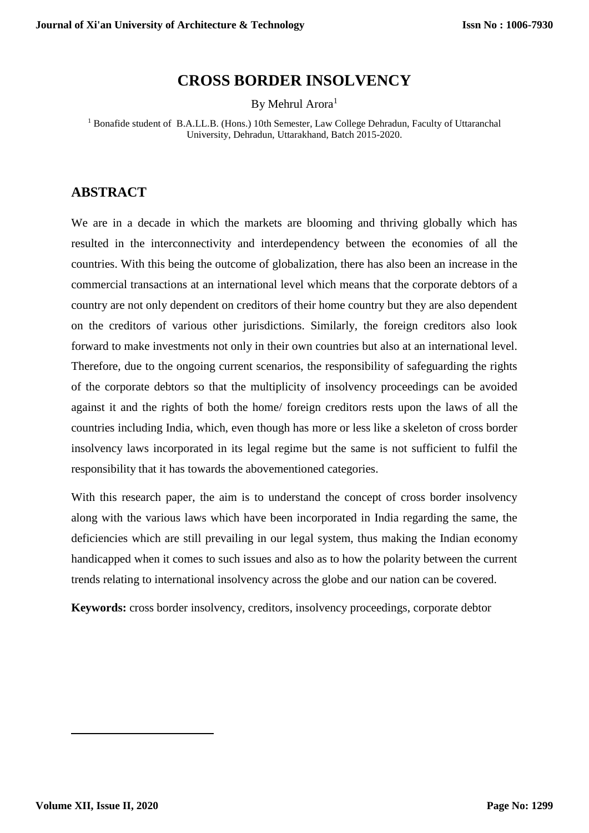# **CROSS BORDER INSOLVENCY**

By Mehrul Arora<sup>1</sup>

<sup>1</sup> Bonafide student of B.A.LL.B. (Hons.) 10th Semester, Law College Dehradun, Faculty of Uttaranchal University, Dehradun, Uttarakhand, Batch 2015-2020.

### **ABSTRACT**

We are in a decade in which the markets are blooming and thriving globally which has resulted in the interconnectivity and interdependency between the economies of all the countries. With this being the outcome of globalization, there has also been an increase in the commercial transactions at an international level which means that the corporate debtors of a country are not only dependent on creditors of their home country but they are also dependent on the creditors of various other jurisdictions. Similarly, the foreign creditors also look forward to make investments not only in their own countries but also at an international level. Therefore, due to the ongoing current scenarios, the responsibility of safeguarding the rights of the corporate debtors so that the multiplicity of insolvency proceedings can be avoided against it and the rights of both the home/ foreign creditors rests upon the laws of all the countries including India, which, even though has more or less like a skeleton of cross border insolvency laws incorporated in its legal regime but the same is not sufficient to fulfil the responsibility that it has towards the abovementioned categories.

With this research paper, the aim is to understand the concept of cross border insolvency along with the various laws which have been incorporated in India regarding the same, the deficiencies which are still prevailing in our legal system, thus making the Indian economy handicapped when it comes to such issues and also as to how the polarity between the current trends relating to international insolvency across the globe and our nation can be covered.

**Keywords:** cross border insolvency, creditors, insolvency proceedings, corporate debtor

**.**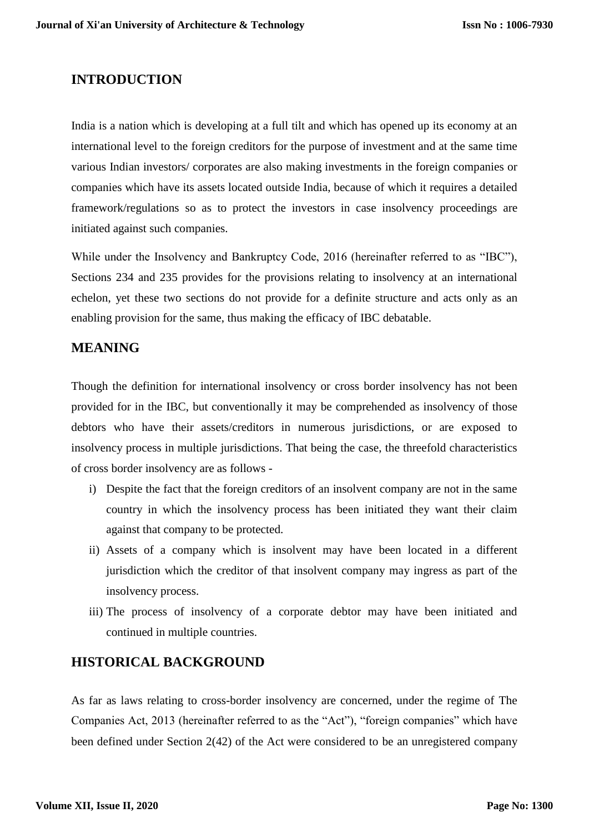## **INTRODUCTION**

India is a nation which is developing at a full tilt and which has opened up its economy at an international level to the foreign creditors for the purpose of investment and at the same time various Indian investors/ corporates are also making investments in the foreign companies or companies which have its assets located outside India, because of which it requires a detailed framework/regulations so as to protect the investors in case insolvency proceedings are initiated against such companies.

While under the Insolvency and Bankruptcy Code, 2016 (hereinafter referred to as "IBC"), Sections 234 and 235 provides for the provisions relating to insolvency at an international echelon, yet these two sections do not provide for a definite structure and acts only as an enabling provision for the same, thus making the efficacy of IBC debatable.

## **MEANING**

Though the definition for international insolvency or cross border insolvency has not been provided for in the IBC, but conventionally it may be comprehended as insolvency of those debtors who have their assets/creditors in numerous jurisdictions, or are exposed to insolvency process in multiple jurisdictions. That being the case, the threefold characteristics of cross border insolvency are as follows -

- i) Despite the fact that the foreign creditors of an insolvent company are not in the same country in which the insolvency process has been initiated they want their claim against that company to be protected.
- ii) Assets of a company which is insolvent may have been located in a different jurisdiction which the creditor of that insolvent company may ingress as part of the insolvency process.
- iii) The process of insolvency of a corporate debtor may have been initiated and continued in multiple countries.

## **HISTORICAL BACKGROUND**

As far as laws relating to cross-border insolvency are concerned, under the regime of The Companies Act, 2013 (hereinafter referred to as the "Act"), "foreign companies" which have been defined under Section 2(42) of the Act were considered to be an unregistered company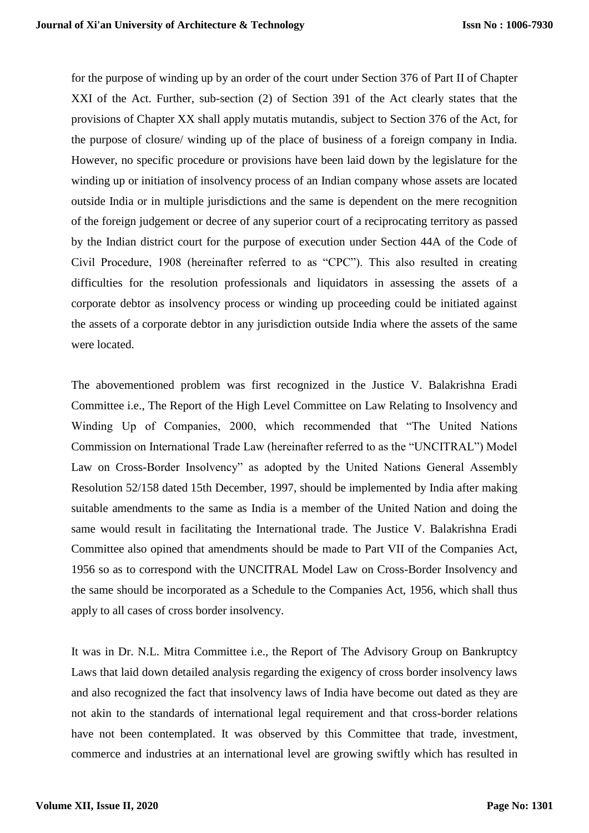for the purpose of winding up by an order of the court under Section 376 of Part II of Chapter XXI of the Act. Further, sub-section (2) of Section 391 of the Act clearly states that the provisions of Chapter XX shall apply mutatis mutandis, subject to Section 376 of the Act, for the purpose of closure/ winding up of the place of business of a foreign company in India. However, no specific procedure or provisions have been laid down by the legislature for the winding up or initiation of insolvency process of an Indian company whose assets are located outside India or in multiple jurisdictions and the same is dependent on the mere recognition of the foreign judgement or decree of any superior court of a reciprocating territory as passed by the Indian district court for the purpose of execution under Section 44A of the Code of Civil Procedure, 1908 (hereinafter referred to as "CPC"). This also resulted in creating difficulties for the resolution professionals and liquidators in assessing the assets of a corporate debtor as insolvency process or winding up proceeding could be initiated against the assets of a corporate debtor in any jurisdiction outside India where the assets of the same were located.

The abovementioned problem was first recognized in the Justice V. Balakrishna Eradi Committee i.e., The Report of the High Level Committee on Law Relating to Insolvency and Winding Up of Companies, 2000, which recommended that "The United Nations Commission on International Trade Law (hereinafter referred to as the "UNCITRAL") Model Law on Cross-Border Insolvency" as adopted by the United Nations General Assembly Resolution 52/158 dated 15th December, 1997, should be implemented by India after making suitable amendments to the same as India is a member of the United Nation and doing the same would result in facilitating the International trade. The Justice V. Balakrishna Eradi Committee also opined that amendments should be made to Part VII of the Companies Act, 1956 so as to correspond with the UNCITRAL Model Law on Cross-Border Insolvency and the same should be incorporated as a Schedule to the Companies Act, 1956, which shall thus apply to all cases of cross border insolvency.

It was in Dr. N.L. Mitra Committee i.e., the Report of The Advisory Group on Bankruptcy Laws that laid down detailed analysis regarding the exigency of cross border insolvency laws and also recognized the fact that insolvency laws of India have become out dated as they are not akin to the standards of international legal requirement and that cross-border relations have not been contemplated. It was observed by this Committee that trade, investment, commerce and industries at an international level are growing swiftly which has resulted in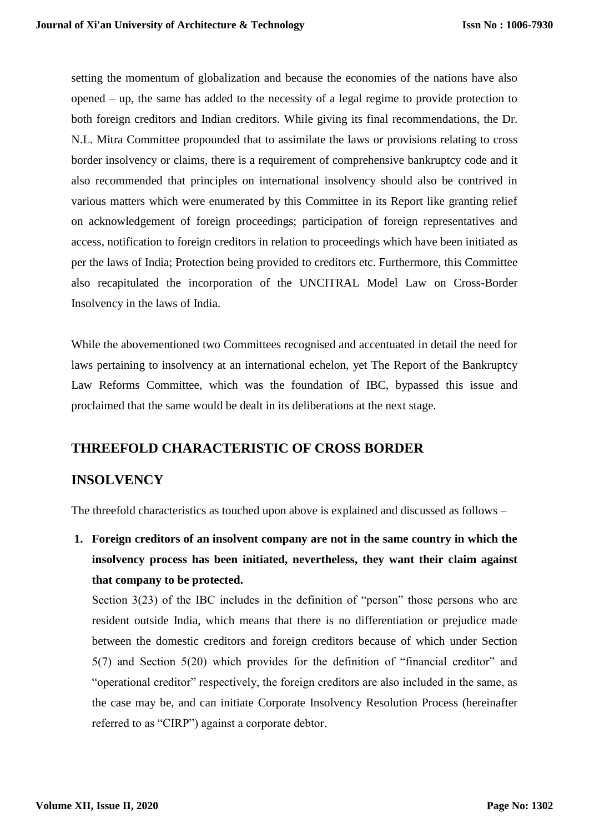setting the momentum of globalization and because the economies of the nations have also opened – up, the same has added to the necessity of a legal regime to provide protection to both foreign creditors and Indian creditors. While giving its final recommendations, the Dr. N.L. Mitra Committee propounded that to assimilate the laws or provisions relating to cross border insolvency or claims, there is a requirement of comprehensive bankruptcy code and it also recommended that principles on international insolvency should also be contrived in various matters which were enumerated by this Committee in its Report like granting relief on acknowledgement of foreign proceedings; participation of foreign representatives and access, notification to foreign creditors in relation to proceedings which have been initiated as per the laws of India; Protection being provided to creditors etc. Furthermore, this Committee also recapitulated the incorporation of the UNCITRAL Model Law on Cross-Border Insolvency in the laws of India.

While the abovementioned two Committees recognised and accentuated in detail the need for laws pertaining to insolvency at an international echelon, yet The Report of the Bankruptcy Law Reforms Committee, which was the foundation of IBC, bypassed this issue and proclaimed that the same would be dealt in its deliberations at the next stage.

## **THREEFOLD CHARACTERISTIC OF CROSS BORDER**

## **INSOLVENCY**

The threefold characteristics as touched upon above is explained and discussed as follows –

**1. Foreign creditors of an insolvent company are not in the same country in which the insolvency process has been initiated, nevertheless, they want their claim against that company to be protected.**

Section 3(23) of the IBC includes in the definition of "person" those persons who are resident outside India, which means that there is no differentiation or prejudice made between the domestic creditors and foreign creditors because of which under Section 5(7) and Section 5(20) which provides for the definition of "financial creditor" and "operational creditor" respectively, the foreign creditors are also included in the same, as the case may be, and can initiate Corporate Insolvency Resolution Process (hereinafter referred to as "CIRP") against a corporate debtor.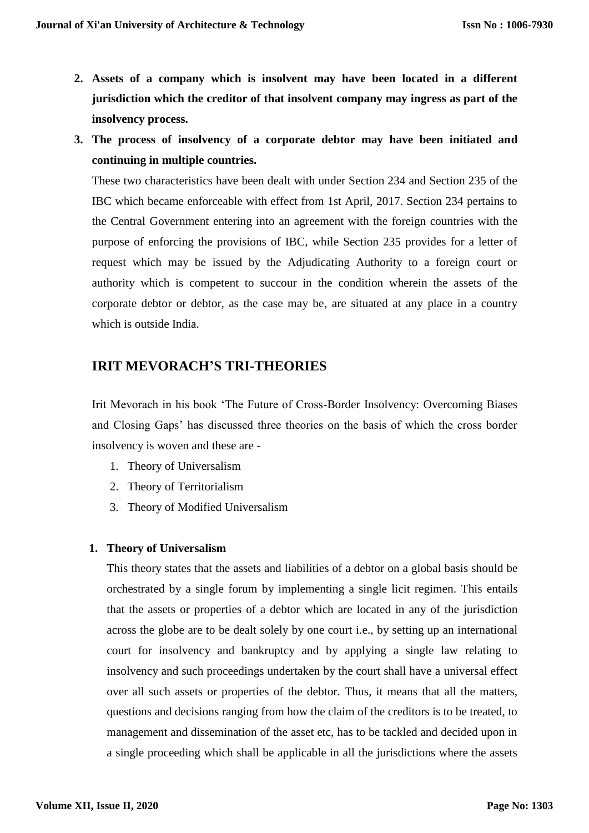- **2. Assets of a company which is insolvent may have been located in a different jurisdiction which the creditor of that insolvent company may ingress as part of the insolvency process.**
- **3. The process of insolvency of a corporate debtor may have been initiated and continuing in multiple countries.**

These two characteristics have been dealt with under Section 234 and Section 235 of the IBC which became enforceable with effect from 1st April, 2017. Section 234 pertains to the Central Government entering into an agreement with the foreign countries with the purpose of enforcing the provisions of IBC, while Section 235 provides for a letter of request which may be issued by the Adjudicating Authority to a foreign court or authority which is competent to succour in the condition wherein the assets of the corporate debtor or debtor, as the case may be, are situated at any place in a country which is outside India.

## **IRIT MEVORACH'S TRI-THEORIES**

Irit Mevorach in his book 'The Future of Cross-Border Insolvency: Overcoming Biases and Closing Gaps' has discussed three theories on the basis of which the cross border insolvency is woven and these are -

- 1. Theory of Universalism
- 2. Theory of Territorialism
- 3. Theory of Modified Universalism

#### **1. Theory of Universalism**

This theory states that the assets and liabilities of a debtor on a global basis should be orchestrated by a single forum by implementing a single licit regimen. This entails that the assets or properties of a debtor which are located in any of the jurisdiction across the globe are to be dealt solely by one court i.e., by setting up an international court for insolvency and bankruptcy and by applying a single law relating to insolvency and such proceedings undertaken by the court shall have a universal effect over all such assets or properties of the debtor. Thus, it means that all the matters, questions and decisions ranging from how the claim of the creditors is to be treated, to management and dissemination of the asset etc, has to be tackled and decided upon in a single proceeding which shall be applicable in all the jurisdictions where the assets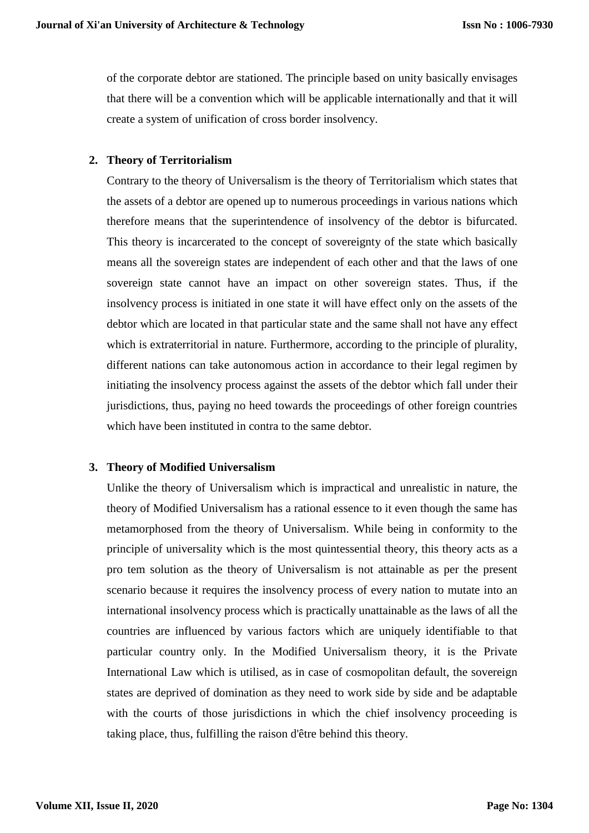of the corporate debtor are stationed. The principle based on unity basically envisages that there will be a convention which will be applicable internationally and that it will create a system of unification of cross border insolvency.

### **2. Theory of Territorialism**

Contrary to the theory of Universalism is the theory of Territorialism which states that the assets of a debtor are opened up to numerous proceedings in various nations which therefore means that the superintendence of insolvency of the debtor is bifurcated. This theory is incarcerated to the concept of sovereignty of the state which basically means all the sovereign states are independent of each other and that the laws of one sovereign state cannot have an impact on other sovereign states. Thus, if the insolvency process is initiated in one state it will have effect only on the assets of the debtor which are located in that particular state and the same shall not have any effect which is extraterritorial in nature. Furthermore, according to the principle of plurality, different nations can take autonomous action in accordance to their legal regimen by initiating the insolvency process against the assets of the debtor which fall under their jurisdictions, thus, paying no heed towards the proceedings of other foreign countries which have been instituted in contra to the same debtor.

#### **3. Theory of Modified Universalism**

Unlike the theory of Universalism which is impractical and unrealistic in nature, the theory of Modified Universalism has a rational essence to it even though the same has metamorphosed from the theory of Universalism. While being in conformity to the principle of universality which is the most quintessential theory, this theory acts as a pro tem solution as the theory of Universalism is not attainable as per the present scenario because it requires the insolvency process of every nation to mutate into an international insolvency process which is practically unattainable as the laws of all the countries are influenced by various factors which are uniquely identifiable to that particular country only. In the Modified Universalism theory, it is the Private International Law which is utilised, as in case of cosmopolitan default, the sovereign states are deprived of domination as they need to work side by side and be adaptable with the courts of those jurisdictions in which the chief insolvency proceeding is taking place, thus, fulfilling the raison d'être behind this theory.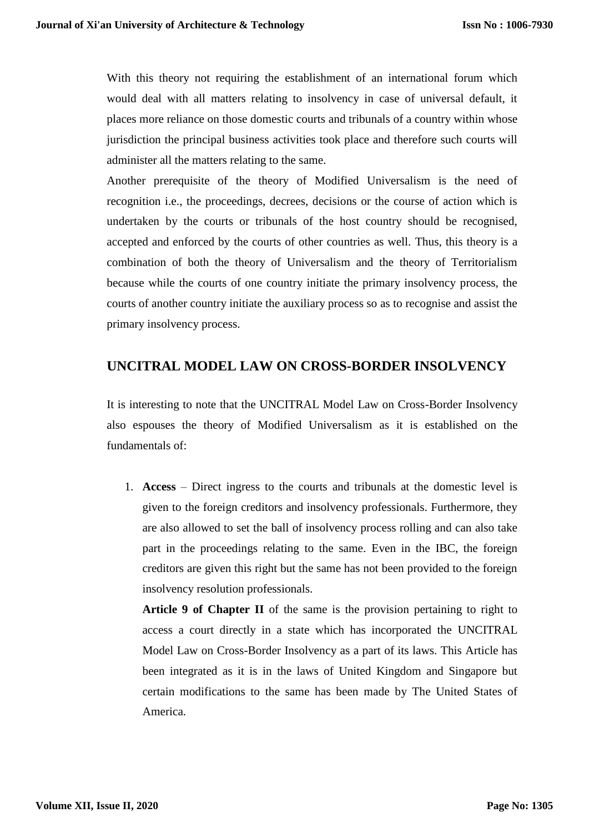With this theory not requiring the establishment of an international forum which would deal with all matters relating to insolvency in case of universal default, it places more reliance on those domestic courts and tribunals of a country within whose jurisdiction the principal business activities took place and therefore such courts will administer all the matters relating to the same.

Another prerequisite of the theory of Modified Universalism is the need of recognition i.e., the proceedings, decrees, decisions or the course of action which is undertaken by the courts or tribunals of the host country should be recognised, accepted and enforced by the courts of other countries as well. Thus, this theory is a combination of both the theory of Universalism and the theory of Territorialism because while the courts of one country initiate the primary insolvency process, the courts of another country initiate the auxiliary process so as to recognise and assist the primary insolvency process.

## **UNCITRAL MODEL LAW ON CROSS-BORDER INSOLVENCY**

It is interesting to note that the UNCITRAL Model Law on Cross-Border Insolvency also espouses the theory of Modified Universalism as it is established on the fundamentals of:

1. **Access** – Direct ingress to the courts and tribunals at the domestic level is given to the foreign creditors and insolvency professionals. Furthermore, they are also allowed to set the ball of insolvency process rolling and can also take part in the proceedings relating to the same. Even in the IBC, the foreign creditors are given this right but the same has not been provided to the foreign insolvency resolution professionals.

**Article 9 of Chapter II** of the same is the provision pertaining to right to access a court directly in a state which has incorporated the UNCITRAL Model Law on Cross-Border Insolvency as a part of its laws. This Article has been integrated as it is in the laws of United Kingdom and Singapore but certain modifications to the same has been made by The United States of America.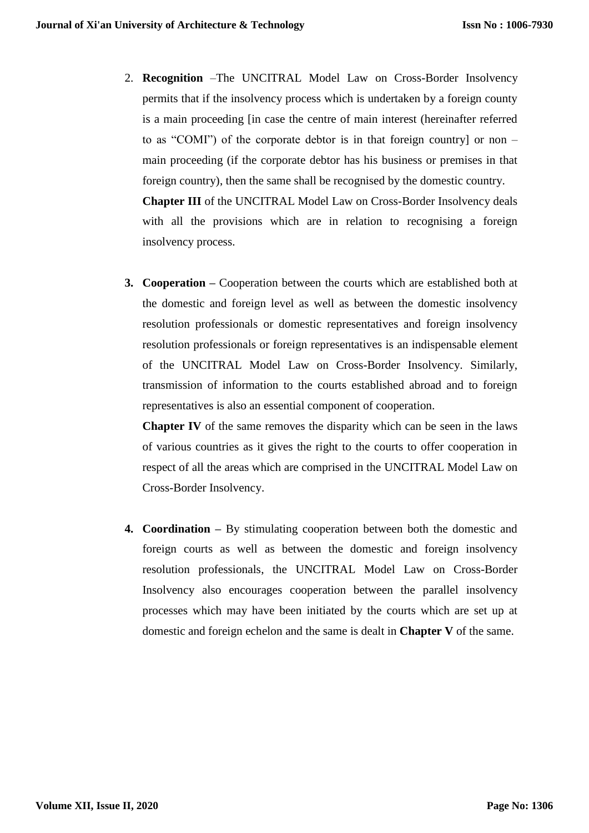2. **Recognition** –The UNCITRAL Model Law on Cross-Border Insolvency permits that if the insolvency process which is undertaken by a foreign county is a main proceeding [in case the centre of main interest (hereinafter referred to as "COMI") of the corporate debtor is in that foreign country] or non – main proceeding (if the corporate debtor has his business or premises in that foreign country), then the same shall be recognised by the domestic country. **Chapter III** of the UNCITRAL Model Law on Cross-Border Insolvency deals

with all the provisions which are in relation to recognising a foreign insolvency process.

**3. Cooperation –** Cooperation between the courts which are established both at the domestic and foreign level as well as between the domestic insolvency resolution professionals or domestic representatives and foreign insolvency resolution professionals or foreign representatives is an indispensable element of the UNCITRAL Model Law on Cross-Border Insolvency. Similarly, transmission of information to the courts established abroad and to foreign representatives is also an essential component of cooperation.

**Chapter IV** of the same removes the disparity which can be seen in the laws of various countries as it gives the right to the courts to offer cooperation in respect of all the areas which are comprised in the UNCITRAL Model Law on Cross-Border Insolvency.

**4. Coordination –** By stimulating cooperation between both the domestic and foreign courts as well as between the domestic and foreign insolvency resolution professionals, the UNCITRAL Model Law on Cross-Border Insolvency also encourages cooperation between the parallel insolvency processes which may have been initiated by the courts which are set up at domestic and foreign echelon and the same is dealt in **Chapter V** of the same.